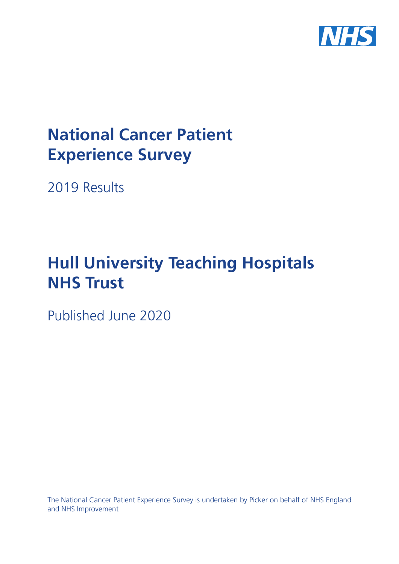

# **National Cancer Patient Experience Survey**

2019 Results

# **Hull University Teaching Hospitals NHS Trust**

Published June 2020

The National Cancer Patient Experience Survey is undertaken by Picker on behalf of NHS England and NHS Improvement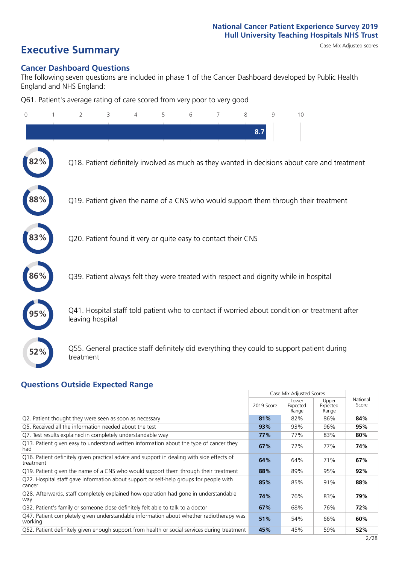# **Executive Summary** Case Mix Adjusted scores

#### **Cancer Dashboard Questions**

The following seven questions are included in phase 1 of the Cancer Dashboard developed by Public Health England and NHS England:

Q61. Patient's average rating of care scored from very poor to very good

| $\Omega$ | $\overline{2}$   | 3                                                             | 4 | 5 | 6 | 7 | 8   | 9 | 10                                                                                            |
|----------|------------------|---------------------------------------------------------------|---|---|---|---|-----|---|-----------------------------------------------------------------------------------------------|
|          |                  |                                                               |   |   |   |   | 8.7 |   |                                                                                               |
|          |                  |                                                               |   |   |   |   |     |   | Q18. Patient definitely involved as much as they wanted in decisions about care and treatment |
|          |                  |                                                               |   |   |   |   |     |   | Q19. Patient given the name of a CNS who would support them through their treatment           |
|          |                  | Q20. Patient found it very or quite easy to contact their CNS |   |   |   |   |     |   |                                                                                               |
| 86%      |                  |                                                               |   |   |   |   |     |   | Q39. Patient always felt they were treated with respect and dignity while in hospital         |
|          | leaving hospital |                                                               |   |   |   |   |     |   | Q41. Hospital staff told patient who to contact if worried about condition or treatment after |
| 52%      | treatment        |                                                               |   |   |   |   |     |   | Q55. General practice staff definitely did everything they could to support patient during    |

#### **Questions Outside Expected Range**

|                                                                                                         |            | Case Mix Adjusted Scores   |                            |                   |
|---------------------------------------------------------------------------------------------------------|------------|----------------------------|----------------------------|-------------------|
|                                                                                                         | 2019 Score | Lower<br>Expected<br>Range | Upper<br>Expected<br>Range | National<br>Score |
| Q2. Patient thought they were seen as soon as necessary                                                 | 81%        | 82%                        | 86%                        | 84%               |
| Q5. Received all the information needed about the test                                                  | 93%        | 93%                        | 96%                        | 95%               |
| Q7. Test results explained in completely understandable way                                             | 77%        | 77%                        | 83%                        | 80%               |
| Q13. Patient given easy to understand written information about the type of cancer they<br>had          | 67%        | 72%                        | 77%                        | 74%               |
| Q16. Patient definitely given practical advice and support in dealing with side effects of<br>treatment | 64%        | 64%                        | 71%                        | 67%               |
| Q19. Patient given the name of a CNS who would support them through their treatment                     | 88%        | 89%                        | 95%                        | 92%               |
| Q22. Hospital staff gave information about support or self-help groups for people with<br>cancer        | 85%        | 85%                        | 91%                        | 88%               |
| Q28. Afterwards, staff completely explained how operation had gone in understandable<br>way             | 74%        | 76%                        | 83%                        | 79%               |
| Q32. Patient's family or someone close definitely felt able to talk to a doctor                         | 67%        | 68%                        | 76%                        | 72%               |
| Q47. Patient completely given understandable information about whether radiotherapy was<br>working      | 51%        | 54%                        | 66%                        | 60%               |
| Q52. Patient definitely given enough support from health or social services during treatment            | 45%        | 45%                        | 59%                        | 52%               |
|                                                                                                         |            |                            |                            | 2/28              |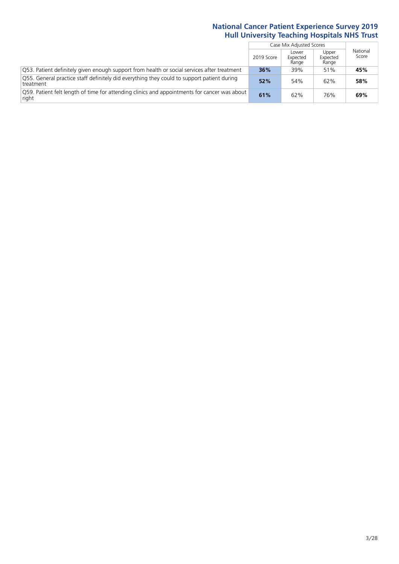$\mathbb{R}$ 

|                                                                                                         |            | Case Mix Adjusted Scores   |                            |                   |
|---------------------------------------------------------------------------------------------------------|------------|----------------------------|----------------------------|-------------------|
|                                                                                                         | 2019 Score | Lower<br>Expected<br>Range | Upper<br>Expected<br>Range | National<br>Score |
| Q53. Patient definitely given enough support from health or social services after treatment             | 36%        | 39%                        | 51%                        | 45%               |
| Q55. General practice staff definitely did everything they could to support patient during<br>treatment | 52%        | 54%                        | 62%                        | 58%               |
| O59. Patient felt length of time for attending clinics and appointments for cancer was about<br>right   | 61%        | 62%                        | 76%                        | 69%               |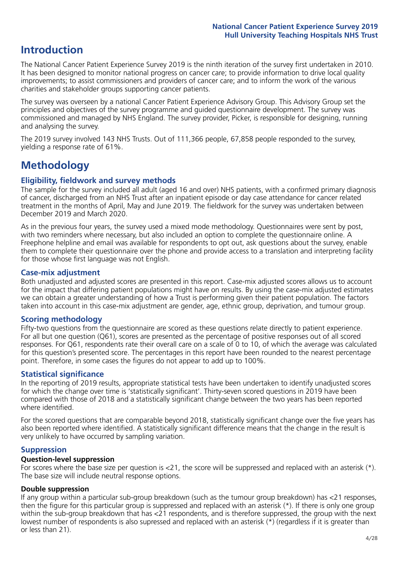# **Introduction**

The National Cancer Patient Experience Survey 2019 is the ninth iteration of the survey first undertaken in 2010. It has been designed to monitor national progress on cancer care; to provide information to drive local quality improvements; to assist commissioners and providers of cancer care; and to inform the work of the various charities and stakeholder groups supporting cancer patients.

The survey was overseen by a national Cancer Patient Experience Advisory Group. This Advisory Group set the principles and objectives of the survey programme and guided questionnaire development. The survey was commissioned and managed by NHS England. The survey provider, Picker, is responsible for designing, running and analysing the survey.

The 2019 survey involved 143 NHS Trusts. Out of 111,366 people, 67,858 people responded to the survey, yielding a response rate of 61%.

# **Methodology**

#### **Eligibility, eldwork and survey methods**

The sample for the survey included all adult (aged 16 and over) NHS patients, with a confirmed primary diagnosis of cancer, discharged from an NHS Trust after an inpatient episode or day case attendance for cancer related treatment in the months of April, May and June 2019. The fieldwork for the survey was undertaken between December 2019 and March 2020.

As in the previous four years, the survey used a mixed mode methodology. Questionnaires were sent by post, with two reminders where necessary, but also included an option to complete the questionnaire online. A Freephone helpline and email was available for respondents to opt out, ask questions about the survey, enable them to complete their questionnaire over the phone and provide access to a translation and interpreting facility for those whose first language was not English.

#### **Case-mix adjustment**

Both unadjusted and adjusted scores are presented in this report. Case-mix adjusted scores allows us to account for the impact that differing patient populations might have on results. By using the case-mix adjusted estimates we can obtain a greater understanding of how a Trust is performing given their patient population. The factors taken into account in this case-mix adjustment are gender, age, ethnic group, deprivation, and tumour group.

#### **Scoring methodology**

Fifty-two questions from the questionnaire are scored as these questions relate directly to patient experience. For all but one question (Q61), scores are presented as the percentage of positive responses out of all scored responses. For Q61, respondents rate their overall care on a scale of 0 to 10, of which the average was calculated for this question's presented score. The percentages in this report have been rounded to the nearest percentage point. Therefore, in some cases the figures do not appear to add up to 100%.

#### **Statistical significance**

In the reporting of 2019 results, appropriate statistical tests have been undertaken to identify unadjusted scores for which the change over time is 'statistically significant'. Thirty-seven scored questions in 2019 have been compared with those of 2018 and a statistically significant change between the two years has been reported where identified.

For the scored questions that are comparable beyond 2018, statistically significant change over the five years has also been reported where identified. A statistically significant difference means that the change in the result is very unlikely to have occurred by sampling variation.

#### **Suppression**

#### **Question-level suppression**

For scores where the base size per question is  $<$ 21, the score will be suppressed and replaced with an asterisk (\*). The base size will include neutral response options.

#### **Double suppression**

If any group within a particular sub-group breakdown (such as the tumour group breakdown) has <21 responses, then the figure for this particular group is suppressed and replaced with an asterisk (\*). If there is only one group within the sub-group breakdown that has <21 respondents, and is therefore suppressed, the group with the next lowest number of respondents is also supressed and replaced with an asterisk (\*) (regardless if it is greater than or less than 21).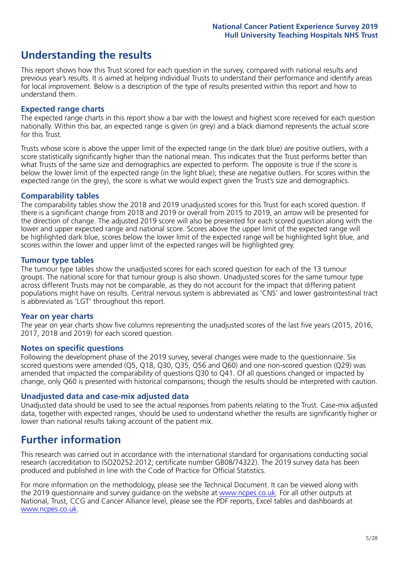# **Understanding the results**

This report shows how this Trust scored for each question in the survey, compared with national results and previous year's results. It is aimed at helping individual Trusts to understand their performance and identify areas for local improvement. Below is a description of the type of results presented within this report and how to understand them.

#### **Expected range charts**

The expected range charts in this report show a bar with the lowest and highest score received for each question nationally. Within this bar, an expected range is given (in grey) and a black diamond represents the actual score for this Trust.

Trusts whose score is above the upper limit of the expected range (in the dark blue) are positive outliers, with a score statistically significantly higher than the national mean. This indicates that the Trust performs better than what Trusts of the same size and demographics are expected to perform. The opposite is true if the score is below the lower limit of the expected range (in the light blue); these are negative outliers. For scores within the expected range (in the grey), the score is what we would expect given the Trust's size and demographics.

#### **Comparability tables**

The comparability tables show the 2018 and 2019 unadjusted scores for this Trust for each scored question. If there is a significant change from 2018 and 2019 or overall from 2015 to 2019, an arrow will be presented for the direction of change. The adjusted 2019 score will also be presented for each scored question along with the lower and upper expected range and national score. Scores above the upper limit of the expected range will be highlighted dark blue, scores below the lower limit of the expected range will be highlighted light blue, and scores within the lower and upper limit of the expected ranges will be highlighted grey.

#### **Tumour type tables**

The tumour type tables show the unadjusted scores for each scored question for each of the 13 tumour groups. The national score for that tumour group is also shown. Unadjusted scores for the same tumour type across different Trusts may not be comparable, as they do not account for the impact that differing patient populations might have on results. Central nervous system is abbreviated as 'CNS' and lower gastrointestinal tract is abbreviated as 'LGT' throughout this report.

#### **Year on year charts**

The year on year charts show five columns representing the unadjusted scores of the last five years (2015, 2016, 2017, 2018 and 2019) for each scored question.

#### **Notes on specific questions**

Following the development phase of the 2019 survey, several changes were made to the questionnaire. Six scored questions were amended (Q5, Q18, Q30, Q35, Q56 and Q60) and one non-scored question (Q29) was amended that impacted the comparability of questions Q30 to Q41. Of all questions changed or impacted by change, only Q60 is presented with historical comparisons; though the results should be interpreted with caution.

#### **Unadjusted data and case-mix adjusted data**

Unadjusted data should be used to see the actual responses from patients relating to the Trust. Case-mix adjusted data, together with expected ranges, should be used to understand whether the results are significantly higher or lower than national results taking account of the patient mix.

### **Further information**

This research was carried out in accordance with the international standard for organisations conducting social research (accreditation to ISO20252:2012; certificate number GB08/74322). The 2019 survey data has been produced and published in line with the Code of Practice for Official Statistics.

For more information on the methodology, please see the Technical Document. It can be viewed along with the 2019 questionnaire and survey quidance on the website at [www.ncpes.co.uk](https://www.ncpes.co.uk/supporting-documents). For all other outputs at National, Trust, CCG and Cancer Alliance level, please see the PDF reports, Excel tables and dashboards at [www.ncpes.co.uk.](https://www.ncpes.co.uk/current-results)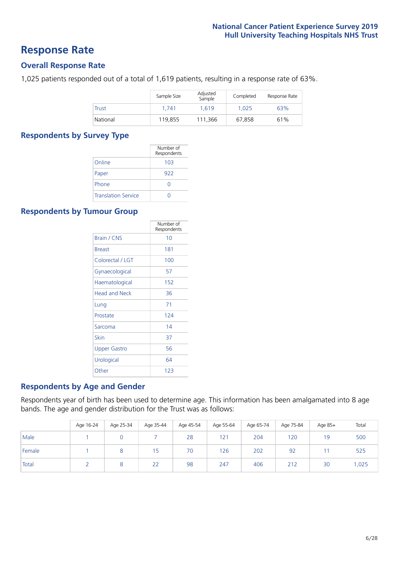### **Response Rate**

#### **Overall Response Rate**

1,025 patients responded out of a total of 1,619 patients, resulting in a response rate of 63%.

|              | Sample Size | Adjusted<br>Sample | Completed | Response Rate |
|--------------|-------------|--------------------|-----------|---------------|
| <b>Trust</b> | 1.741       | 1.619              | 1.025     | 63%           |
| National     | 119.855     | 111.366            | 67,858    | 61%           |

#### **Respondents by Survey Type**

|                            | Number of<br>Respondents |
|----------------------------|--------------------------|
| Online                     | 103                      |
| Paper                      | 922                      |
| Phone                      | O                        |
| <b>Translation Service</b> |                          |

#### **Respondents by Tumour Group**

|                  | Number of<br>Respondents |
|------------------|--------------------------|
| Brain / CNS      | 10                       |
| <b>Breast</b>    | 181                      |
| Colorectal / LGT | 100                      |
| Gynaecological   | 57                       |
| Haematological   | 152                      |
| Head and Neck    | 36                       |
| Lung             | 71                       |
| Prostate         | 124                      |
| Sarcoma          | 14                       |
| Skin             | 37                       |
| Upper Gastro     | 56                       |
| Urological       | 64                       |
| Other            | 123                      |

#### **Respondents by Age and Gender**

Respondents year of birth has been used to determine age. This information has been amalgamated into 8 age bands. The age and gender distribution for the Trust was as follows:

|        | Age 16-24 | Age 25-34 | Age 35-44 | Age 45-54 | Age 55-64 | Age 65-74 | Age 75-84 | Age 85+ | Total |
|--------|-----------|-----------|-----------|-----------|-----------|-----------|-----------|---------|-------|
| Male   |           |           |           | 28        | 121       | 204       | 120       | 19      | 500   |
| Female |           |           | כ ו       | 70        | 126       | 202       | 92        |         | 525   |
| Total  |           |           | 22        | 98        | 247       | 406       | 212       | 30      | 1,025 |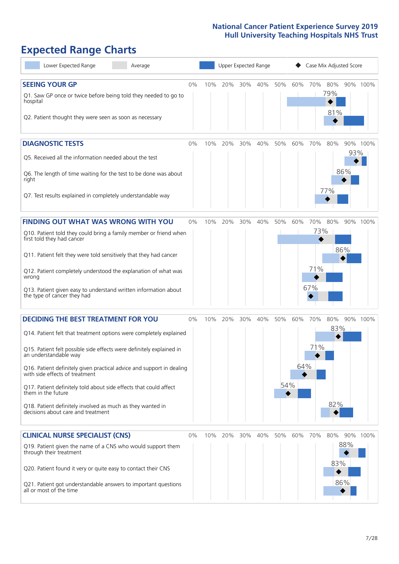# **Expected Range Charts**

| Lower Expected Range<br>Average                                                                                                                                                                                                                                                                                                                                                                                                                                                                                             | Upper Expected Range |     |     |     |     |            | Case Mix Adjusted Score |                          |                   |                   |          |
|-----------------------------------------------------------------------------------------------------------------------------------------------------------------------------------------------------------------------------------------------------------------------------------------------------------------------------------------------------------------------------------------------------------------------------------------------------------------------------------------------------------------------------|----------------------|-----|-----|-----|-----|------------|-------------------------|--------------------------|-------------------|-------------------|----------|
| <b>SEEING YOUR GP</b><br>Q1. Saw GP once or twice before being told they needed to go to<br>hospital<br>Q2. Patient thought they were seen as soon as necessary                                                                                                                                                                                                                                                                                                                                                             | 0%                   | 10% | 20% | 30% | 40% | 50%        | 60%                     | 70%                      | 80%<br>79%<br>81% |                   | 90% 100% |
| <b>DIAGNOSTIC TESTS</b><br>Q5. Received all the information needed about the test<br>Q6. The length of time waiting for the test to be done was about<br>right<br>Q7. Test results explained in completely understandable way                                                                                                                                                                                                                                                                                               | 0%                   | 10% | 20% | 30% | 40% | 50%        | 60%                     | 70%                      | 80%<br>77%        | 93%<br>86%        | 90% 100% |
| <b>FINDING OUT WHAT WAS WRONG WITH YOU</b><br>Q10. Patient told they could bring a family member or friend when<br>first told they had cancer<br>Q11. Patient felt they were told sensitively that they had cancer<br>Q12. Patient completely understood the explanation of what was<br>wrong<br>Q13. Patient given easy to understand written information about<br>the type of cancer they had                                                                                                                             | $0\%$                | 10% | 20% | 30% | 40% | 50%        | 60%                     | 70%<br>73%<br>71%<br>67% | 80%               | 86%               | 90% 100% |
| <b>DECIDING THE BEST TREATMENT FOR YOU</b><br>Q14. Patient felt that treatment options were completely explained<br>Q15. Patient felt possible side effects were definitely explained in<br>an understandable way<br>Q16. Patient definitely given practical advice and support in dealing<br>with side effects of treatment<br>Q17. Patient definitely told about side effects that could affect<br>them in the future<br>Q18. Patient definitely involved as much as they wanted in<br>decisions about care and treatment | 0%                   | 10% | 20% | 30% | 40% | 50%<br>54% | 60%<br>64%              | 70%<br>71%               | 80%<br>82%        | $83\%$            | 90% 100% |
| <b>CLINICAL NURSE SPECIALIST (CNS)</b><br>Q19. Patient given the name of a CNS who would support them<br>through their treatment<br>Q20. Patient found it very or quite easy to contact their CNS<br>Q21. Patient got understandable answers to important questions<br>all or most of the time                                                                                                                                                                                                                              | 0%                   | 10% | 20% | 30% | 40% | 50%        | 60%                     | 70%                      | 80%<br>83%        | 90%<br>88%<br>86% | 100%     |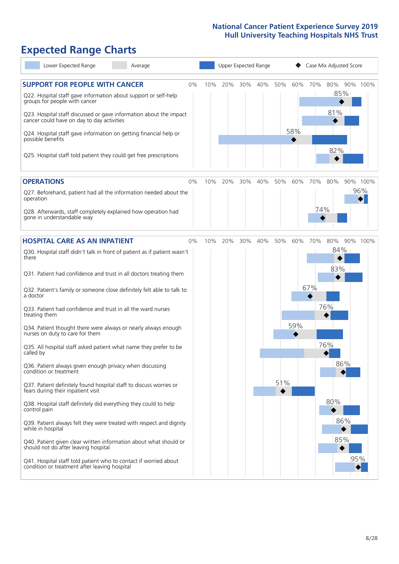# **Expected Range Charts**

| Lower Expected Range<br>Average                                                                                                                                                                                                                                                                                                                                                                                               |    |     |     | Upper Expected Range |     |     |            |     | Case Mix Adjusted Score  |                 |
|-------------------------------------------------------------------------------------------------------------------------------------------------------------------------------------------------------------------------------------------------------------------------------------------------------------------------------------------------------------------------------------------------------------------------------|----|-----|-----|----------------------|-----|-----|------------|-----|--------------------------|-----------------|
| <b>SUPPORT FOR PEOPLE WITH CANCER</b><br>Q22. Hospital staff gave information about support or self-help<br>groups for people with cancer<br>Q23. Hospital staff discussed or gave information about the impact<br>cancer could have on day to day activities<br>Q24. Hospital staff gave information on getting financial help or<br>possible benefits<br>Q25. Hospital staff told patient they could get free prescriptions | 0% | 10% | 20% | 30%                  | 40% | 50% | 60%<br>58% | 70% | 80%<br>85%<br>81%<br>82% | 90% 100%        |
| <b>OPERATIONS</b><br>Q27. Beforehand, patient had all the information needed about the                                                                                                                                                                                                                                                                                                                                        | 0% | 10% | 20% | 30%                  | 40% | 50% | 60%        | 70% | 80%                      | 90% 100%<br>96% |
| operation<br>Q28. Afterwards, staff completely explained how operation had<br>gone in understandable way                                                                                                                                                                                                                                                                                                                      |    |     |     |                      |     |     |            | 74% |                          |                 |
| <b>HOSPITAL CARE AS AN INPATIENT</b>                                                                                                                                                                                                                                                                                                                                                                                          | 0% | 10% | 20% | 30%                  | 40% | 50% | 60%        | 70% | 80%                      | 90% 100%        |
| Q30. Hospital staff didn't talk in front of patient as if patient wasn't<br>there<br>Q31. Patient had confidence and trust in all doctors treating them                                                                                                                                                                                                                                                                       |    |     |     |                      |     |     |            |     | 84%<br>83%               |                 |
| Q32. Patient's family or someone close definitely felt able to talk to<br>a doctor                                                                                                                                                                                                                                                                                                                                            |    |     |     |                      |     |     |            | 67% |                          |                 |
| Q33. Patient had confidence and trust in all the ward nurses<br>treating them                                                                                                                                                                                                                                                                                                                                                 |    |     |     |                      |     |     |            |     | 76%                      |                 |
| Q34. Patient thought there were always or nearly always enough<br>nurses on duty to care for them                                                                                                                                                                                                                                                                                                                             |    |     |     |                      |     |     | 59%        |     |                          |                 |
| Q35. All hospital staff asked patient what name they prefer to be<br>called by                                                                                                                                                                                                                                                                                                                                                |    |     |     |                      |     |     |            |     | 76%                      |                 |
| Q36. Patient always given enough privacy when discussing<br>condition or treatment                                                                                                                                                                                                                                                                                                                                            |    |     |     |                      |     |     |            |     | 86%                      |                 |
| Q37. Patient definitely found hospital staff to discuss worries or<br>fears during their inpatient visit                                                                                                                                                                                                                                                                                                                      |    |     |     |                      |     | 51% |            |     |                          |                 |
| Q38. Hospital staff definitely did everything they could to help<br>control pain                                                                                                                                                                                                                                                                                                                                              |    |     |     |                      |     |     |            |     | 80%                      |                 |
| Q39. Patient always felt they were treated with respect and dignity<br>while in hospital                                                                                                                                                                                                                                                                                                                                      |    |     |     |                      |     |     |            |     | 86%                      |                 |
| Q40. Patient given clear written information about what should or<br>should not do after leaving hospital                                                                                                                                                                                                                                                                                                                     |    |     |     |                      |     |     |            |     | 85%                      |                 |
| Q41. Hospital staff told patient who to contact if worried about<br>condition or treatment after leaving hospital                                                                                                                                                                                                                                                                                                             |    |     |     |                      |     |     |            |     |                          | 95%             |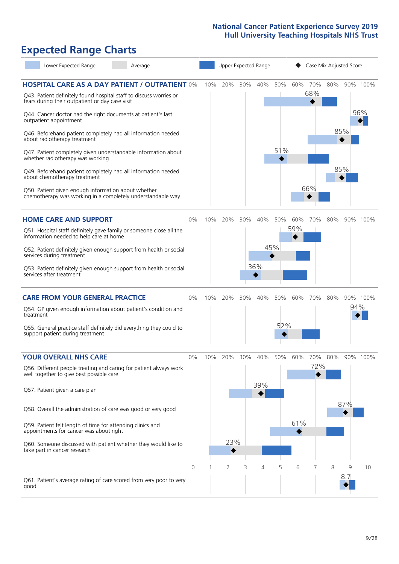## **Expected Range Charts**

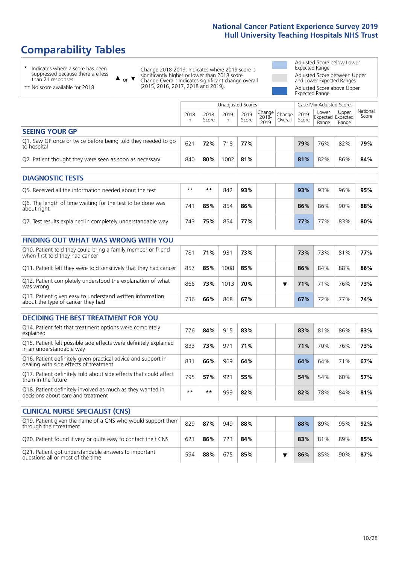# **Comparability Tables**

\* Indicates where a score has been suppressed because there are less than 21 responses.

\*\* No score available for 2018.

or  $\blacktriangledown$  $\blacktriangle$ 

Change 2018-2019: Indicates where 2019 score is significantly higher or lower than 2018 score Change Overall: Indicates significant change overall (2015, 2016, 2017, 2018 and 2019).

Adjusted Score below Lower Expected Range Adjusted Score between Upper and Lower Expected Ranges Adjusted Score above Upper Expected Range

|                                                                             |           |               | Unadjusted Scores |               |                                                      |         |               | Case Mix Adjusted Scores |                                     |                   |
|-----------------------------------------------------------------------------|-----------|---------------|-------------------|---------------|------------------------------------------------------|---------|---------------|--------------------------|-------------------------------------|-------------------|
|                                                                             | 2018<br>n | 2018<br>Score | 2019<br>n         | 2019<br>Score | $\cdot$   Change   Change   $\cdot$<br>2018-<br>2019 | Overall | 2019<br>Score | Lower<br>Range           | Upper<br>Expected Expected<br>Range | National<br>Score |
| <b>SEEING YOUR GP</b>                                                       |           |               |                   |               |                                                      |         |               |                          |                                     |                   |
| Q1. Saw GP once or twice before being told they needed to go<br>to hospital | 621       | 72%           | 718               | 77%           |                                                      |         | 79%           | 76%                      | 82%                                 | 79%               |
| Q2. Patient thought they were seen as soon as necessary                     | 840       | 80%           | 1002              | 81%           |                                                      |         | 81%           | 82%                      | 86%                                 | 84%               |
| <b>DIAGNOSTIC TESTS</b>                                                     |           |               |                   |               |                                                      |         |               |                          |                                     |                   |

| Q5. Received all the information needed about the test                    | $**$ | **  | 842 | 93% | 93% | 93% | 96% | 95% |
|---------------------------------------------------------------------------|------|-----|-----|-----|-----|-----|-----|-----|
| Q6. The length of time waiting for the test to be done was<br>about right | 741  | 85% | 854 | 86% | 86% | 86% | 90% | 88% |
| Q7. Test results explained in completely understandable way               | 743  | 75% | 854 | 77% | 77% | 77% | 83% | 80% |

| <b>FINDING OUT WHAT WAS WRONG WITH YOU</b>                                                      |     |     |      |     |  |  |     |     |     |     |
|-------------------------------------------------------------------------------------------------|-----|-----|------|-----|--|--|-----|-----|-----|-----|
| Q10. Patient told they could bring a family member or friend<br>when first told they had cancer | 781 | 71% | 931  | 73% |  |  | 73% | 73% | 81% | 77% |
| Q11. Patient felt they were told sensitively that they had cancer                               | 857 | 85% | 1008 | 85% |  |  | 86% | 84% | 88% | 86% |
| Q12. Patient completely understood the explanation of what<br>was wrong                         | 866 | 73% | 1013 | 70% |  |  | 71% | 71% | 76% | 73% |
| Q13. Patient given easy to understand written information<br>about the type of cancer they had  | 736 | 66% | 868  | 67% |  |  | 67% | 72% | 77% | 74% |

| <b>DECIDING THE BEST TREATMENT FOR YOU</b>                                                              |      |     |     |     |     |     |     |     |
|---------------------------------------------------------------------------------------------------------|------|-----|-----|-----|-----|-----|-----|-----|
| Q14. Patient felt that treatment options were completely<br>explained                                   | 776  | 84% | 915 | 83% | 83% | 81% | 86% | 83% |
| Q15. Patient felt possible side effects were definitely explained<br>in an understandable way           | 833  | 73% | 971 | 71% | 71% | 70% | 76% | 73% |
| Q16. Patient definitely given practical advice and support in<br>dealing with side effects of treatment | 831  | 66% | 969 | 64% | 64% | 64% | 71% | 67% |
| Q17. Patient definitely told about side effects that could affect<br>them in the future                 | 795  | 57% | 921 | 55% | 54% | 54% | 60% | 57% |
| Q18. Patient definitely involved as much as they wanted in<br>decisions about care and treatment        | $**$ | **  | 999 | 82% | 82% | 78% | 84% | 81% |

| <b>CLINICAL NURSE SPECIALIST (CNS)</b>                                                    |     |     |     |     |  |     |     |     |     |
|-------------------------------------------------------------------------------------------|-----|-----|-----|-----|--|-----|-----|-----|-----|
| Q19. Patient given the name of a CNS who would support them<br>through their treatment    | 829 | 87% | 949 | 88% |  | 88% | 89% | 95% | 92% |
| Q20. Patient found it very or quite easy to contact their CNS                             | 621 | 86% | 723 | 84% |  | 83% | 81% | 89% | 85% |
| Q21. Patient got understandable answers to important<br>questions all or most of the time | 594 | 88% | 675 | 85% |  | 86% | 85% | 90% | 87% |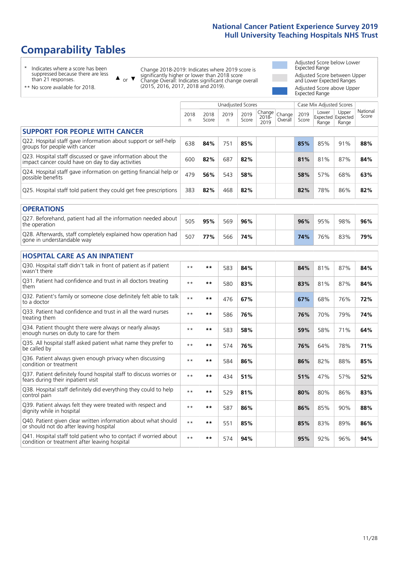# **Comparability Tables**

\* Indicates where a score has been suppressed because there are less than 21 responses.

\*\* No score available for 2018.

 $\triangle$  or  $\nabla$ 

Change 2018-2019: Indicates where 2019 score is significantly higher or lower than 2018 score Change Overall: Indicates significant change overall (2015, 2016, 2017, 2018 and 2019).

Adjusted Score below Lower Expected Range Adjusted Score between Upper and Lower Expected Ranges Adjusted Score above Upper Expected Range

|                                                                                                                   |           |               |            | <b>Unadjusted Scores</b> |                         |                   |               | Case Mix Adjusted Scores            |                |                   |
|-------------------------------------------------------------------------------------------------------------------|-----------|---------------|------------|--------------------------|-------------------------|-------------------|---------------|-------------------------------------|----------------|-------------------|
|                                                                                                                   | 2018<br>n | 2018<br>Score | 2019<br>n. | 2019<br>Score            | Change<br>2018-<br>2019 | Change<br>Overall | 2019<br>Score | Lower<br>Expected Expected<br>Range | Upper<br>Range | National<br>Score |
| <b>SUPPORT FOR PEOPLE WITH CANCER</b>                                                                             |           |               |            |                          |                         |                   |               |                                     |                |                   |
| Q22. Hospital staff gave information about support or self-help<br>groups for people with cancer                  | 638       | 84%           | 751        | 85%                      |                         |                   | 85%           | 85%                                 | 91%            | 88%               |
| Q23. Hospital staff discussed or gave information about the<br>impact cancer could have on day to day activities  | 600       | 82%           | 687        | 82%                      |                         |                   | 81%           | 81%                                 | 87%            | 84%               |
| Q24. Hospital staff gave information on getting financial help or<br>possible benefits                            | 479       | 56%           | 543        | 58%                      |                         |                   | 58%           | 57%                                 | 68%            | 63%               |
| Q25. Hospital staff told patient they could get free prescriptions                                                | 383       | 82%           | 468        | 82%                      |                         |                   | 82%           | 78%                                 | 86%            | 82%               |
| <b>OPERATIONS</b>                                                                                                 |           |               |            |                          |                         |                   |               |                                     |                |                   |
| Q27. Beforehand, patient had all the information needed about<br>the operation                                    | 505       | 95%           | 569        | 96%                      |                         |                   | 96%           | 95%                                 | 98%            | 96%               |
| Q28. Afterwards, staff completely explained how operation had<br>gone in understandable way                       | 507       | 77%           | 566        | 74%                      |                         |                   | 74%           | 76%                                 | 83%            | 79%               |
| <b>HOSPITAL CARE AS AN INPATIENT</b>                                                                              |           |               |            |                          |                         |                   |               |                                     |                |                   |
| Q30. Hospital staff didn't talk in front of patient as if patient<br>wasn't there                                 | $* *$     | $***$         | 583        | 84%                      |                         |                   | 84%           | 81%                                 | 87%            | 84%               |
| Q31. Patient had confidence and trust in all doctors treating<br>them                                             | $* *$     | $***$         | 580        | 83%                      |                         |                   | 83%           | 81%                                 | 87%            | 84%               |
| Q32. Patient's family or someone close definitely felt able to talk<br>to a doctor                                | $* *$     | $***$         | 476        | 67%                      |                         |                   | 67%           | 68%                                 | 76%            | 72%               |
| Q33. Patient had confidence and trust in all the ward nurses<br>treating them                                     | $* *$     | $***$         | 586        | 76%                      |                         |                   | 76%           | 70%                                 | 79%            | 74%               |
| Q34. Patient thought there were always or nearly always<br>enough nurses on duty to care for them                 | $* *$     | $***$         | 583        | 58%                      |                         |                   | 59%           | 58%                                 | 71%            | 64%               |
| Q35. All hospital staff asked patient what name they prefer to<br>be called by                                    | $**$      | $***$         | 574        | 76%                      |                         |                   | 76%           | 64%                                 | 78%            | 71%               |
| Q36. Patient always given enough privacy when discussing<br>condition or treatment                                | $* *$     | **            | 584        | 86%                      |                         |                   | 86%           | 82%                                 | 88%            | 85%               |
| Q37. Patient definitely found hospital staff to discuss worries or<br>fears during their inpatient visit          | $* *$     | $***$         | 434        | 51%                      |                         |                   | 51%           | 47%                                 | 57%            | 52%               |
| Q38. Hospital staff definitely did everything they could to help<br>control pain                                  | $* *$     | $***$         | 529        | 81%                      |                         |                   | 80%           | 80%                                 | 86%            | 83%               |
| Q39. Patient always felt they were treated with respect and<br>dignity while in hospital                          | $* *$     | $***$         | 587        | 86%                      |                         |                   | 86%           | 85%                                 | 90%            | 88%               |
| Q40. Patient given clear written information about what should<br>or should not do after leaving hospital         | $**$      | $***$         | 551        | 85%                      |                         |                   | 85%           | 83%                                 | 89%            | 86%               |
| Q41. Hospital staff told patient who to contact if worried about<br>condition or treatment after leaving hospital | $**$      | $***$         | 574        | 94%                      |                         |                   | 95%           | 92%                                 | 96%            | 94%               |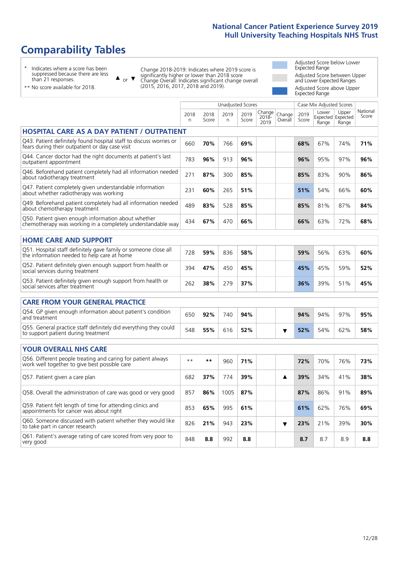# **Comparability Tables**

\* Indicates where a score has been suppressed because there are less than 21 responses.

\*\* No score available for 2018.

 $\triangle$  or  $\nabla$ 

Change 2018-2019: Indicates where 2019 score is significantly higher or lower than 2018 score Change Overall: Indicates significant change overall (2015, 2016, 2017, 2018 and 2019).

Adjusted Score below Lower Expected Range Adjusted Score between Upper and Lower Expected Ranges Adjusted Score above Upper Expected Range

|                                                                                                                       |           |               | <b>Unadjusted Scores</b> |               |                         |                   |               | Case Mix Adjusted Scores |                                     |                   |
|-----------------------------------------------------------------------------------------------------------------------|-----------|---------------|--------------------------|---------------|-------------------------|-------------------|---------------|--------------------------|-------------------------------------|-------------------|
|                                                                                                                       | 2018<br>n | 2018<br>Score | 2019<br>n                | 2019<br>Score | Change<br>2018-<br>2019 | Change<br>Overall | 2019<br>Score | Lower<br>Range           | Upper<br>Expected Expected<br>Range | National<br>Score |
| <b>HOSPITAL CARE AS A DAY PATIENT / OUTPATIENT</b>                                                                    |           |               |                          |               |                         |                   |               |                          |                                     |                   |
| Q43. Patient definitely found hospital staff to discuss worries or<br>fears during their outpatient or day case visit | 660       | 70%           | 766                      | 69%           |                         |                   | 68%           | 67%                      | 74%                                 | 71%               |
| Q44. Cancer doctor had the right documents at patient's last<br>outpatient appointment                                | 783       | 96%           | 913                      | 96%           |                         |                   | 96%           | 95%                      | 97%                                 | 96%               |
| Q46. Beforehand patient completely had all information needed<br>about radiotherapy treatment                         | 271       | 87%           | 300                      | 85%           |                         |                   | 85%           | 83%                      | 90%                                 | 86%               |
| Q47. Patient completely given understandable information<br>about whether radiotherapy was working                    | 231       | 60%           | 265                      | 51%           |                         |                   | 51%           | 54%                      | 66%                                 | 60%               |
| Q49. Beforehand patient completely had all information needed<br>about chemotherapy treatment                         | 489       | 83%           | 528                      | 85%           |                         |                   | 85%           | 81%                      | 87%                                 | 84%               |
| Q50. Patient given enough information about whether<br>chemotherapy was working in a completely understandable way    | 434       | 67%           | 470                      | 66%           |                         |                   | 66%           | 63%                      | 72%                                 | 68%               |
| <b>HOME CARE AND SUPPORT</b>                                                                                          |           |               |                          |               |                         |                   |               |                          |                                     |                   |
| Q51. Hospital staff definitely gave family or someone close all<br>the information needed to help care at home        | 728       | 59%           | 836                      | 58%           |                         |                   | 59%           | 56%                      | 63%                                 | 60%               |
| Q52. Patient definitely given enough support from health or<br>social services during treatment                       | 394       | 47%           | 450                      | 45%           |                         |                   | 45%           | 45%                      | 59%                                 | 52%               |
| Q53. Patient definitely given enough support from health or<br>social services after treatment                        | 262       | 38%           | 279                      | 37%           |                         |                   | 36%           | 39%                      | 51%                                 | 45%               |
| <b>CARE FROM YOUR GENERAL PRACTICE</b>                                                                                |           |               |                          |               |                         |                   |               |                          |                                     |                   |
| Q54. GP given enough information about patient's condition<br>and treatment                                           | 650       | 92%           | 740                      | 94%           |                         |                   | 94%           | 94%                      | 97%                                 | 95%               |
| Q55. General practice staff definitely did everything they could<br>to support patient during treatment               | 548       | 55%           | 616                      | 52%           |                         | ▼                 | 52%           | 54%                      | 62%                                 | 58%               |
| <b>YOUR OVERALL NHS CARE</b>                                                                                          |           |               |                          |               |                         |                   |               |                          |                                     |                   |
| Q56. Different people treating and caring for patient always<br>work well together to give best possible care         | $* *$     | $***$         | 960                      | 71%           |                         |                   | 72%           | 70%                      | 76%                                 | 73%               |
| Q57. Patient given a care plan                                                                                        | 682       | 37%           | 774                      | 39%           |                         | ▲                 | 39%           | 34%                      | 41%                                 | 38%               |
| Q58. Overall the administration of care was good or very good                                                         | 857       | 86%           | 1005                     | 87%           |                         |                   | 87%           | 86%                      | 91%                                 | 89%               |
| Q59. Patient felt length of time for attending clinics and<br>appointments for cancer was about right                 | 853       | 65%           | 995                      | 61%           |                         |                   | 61%           | 62%                      | 76%                                 | 69%               |
| Q60. Someone discussed with patient whether they would like<br>to take part in cancer research                        | 826       | 21%           | 943                      | 23%           |                         | ▼                 | 23%           | 21%                      | 39%                                 | 30%               |
| Q61. Patient's average rating of care scored from very poor to<br>very good                                           | 848       | 8.8           | 992                      | 8.8           |                         |                   | 8.7           | 8.7                      | 8.9                                 | 8.8               |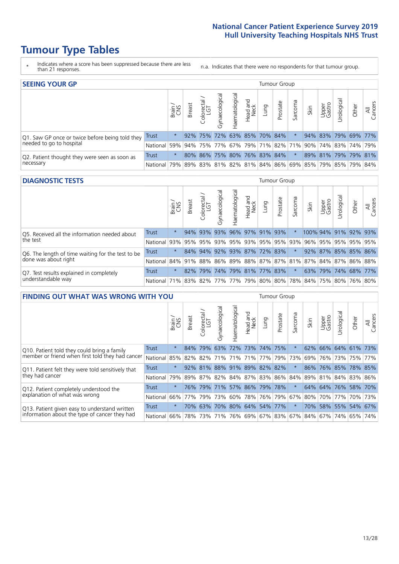# **Tumour Type Tables**

- \* Indicates where a score has been suppressed because there are less than 21 responses.
- n.a. Indicates that there were no respondents for that tumour group.

| <b>SEEING YOUR GP</b>                           |              |          |               |                             |                   |                |                  |                     | Tumour Group |         |                                                     |                 |                     |       |                |
|-------------------------------------------------|--------------|----------|---------------|-----------------------------|-------------------|----------------|------------------|---------------------|--------------|---------|-----------------------------------------------------|-----------------|---------------------|-------|----------------|
|                                                 |              | Brain    | <b>Breast</b> | Colorectal<br>LGT           | ত<br>Gynaecologic | Haematological | Head and<br>Neck | Lung                | Prostate     | Sarcoma | Skin                                                | Upper<br>Gastro | Urological          | Other | All<br>Cancers |
| Q1. Saw GP once or twice before being told they | <b>Trust</b> | $^\star$ |               | 92% 75%                     |                   |                |                  | 72% 63% 85% 70% 84% |              |         |                                                     |                 | 94% 83% 79% 69% 77% |       |                |
| needed to go to hospital                        | National     | 59%      |               |                             |                   |                |                  |                     |              |         | 94% 75% 77% 67% 79% 71% 82% 71% 90% 74% 83% 74% 79% |                 |                     |       |                |
| Q2. Patient thought they were seen as soon as   | Trust        | $^\star$ |               | 80% 86% 75% 80% 76% 83% 84% |                   |                |                  |                     |              | $\star$ |                                                     |                 | 89% 81% 79% 79% 81% |       |                |
| necessary                                       | National     | 79%      |               |                             |                   |                |                  |                     |              |         | 89% 83% 81% 82% 81% 84% 86% 69% 85% 79% 85% 79% 84% |                 |                     |       |                |

#### **DIAGNOSTIC TESTS** Tumour Group

|                                                   |                                                                  | Super    | <b>Breast</b> | Colorectal<br>LGT | $\overline{\sigma}$<br>Gynaecologic | Haematological      | Head and<br>Neck | Lung | Prostate                | Sarcoma | Skin | Upper<br>Gastro | Irological           | Other | All<br>Cancers |
|---------------------------------------------------|------------------------------------------------------------------|----------|---------------|-------------------|-------------------------------------|---------------------|------------------|------|-------------------------|---------|------|-----------------|----------------------|-------|----------------|
| Q5. Received all the information needed about     | <b>Trust</b>                                                     | $\star$  |               | 94% 93%           |                                     | 93% 96% 97% 91% 93% |                  |      |                         |         |      |                 | 100% 94% 91% 92% 93% |       |                |
| the test                                          | National                                                         | 93%      | 95%           | 95%               |                                     |                     |                  |      | 93% 95% 93% 95% 95% 93% |         | 96%  |                 | 95% 95% 95% 95%      |       |                |
| Q6. The length of time waiting for the test to be | Trust                                                            | $^\star$ |               | 84% 94%           |                                     |                     |                  |      | 92% 93% 87% 72% 83%     |         |      |                 | 92% 87% 85% 85% 86%  |       |                |
| done was about right                              | National 84% 91% 88% 86% 89% 88% 87% 87% 81% 87% 84% 87% 86% 88% |          |               |                   |                                     |                     |                  |      |                         |         |      |                 |                      |       |                |
| Q7. Test results explained in completely          | Trust                                                            | $\star$  | 82%           | 79%               |                                     |                     |                  |      | 74% 79% 81% 77% 83%     | $\star$ |      |                 | 63% 79% 74% 68% 77%  |       |                |
| understandable way                                | National 71% 83% 82% 77% 77% 79% 80% 80% 78% 84% 75% 80% 76% 80% |          |               |                   |                                     |                     |                  |      |                         |         |      |                 |                      |       |                |

| <b>FINDING OUT WHAT WAS WRONG WITH YOU</b>        |              |         |               |                       |                |                                 |                  |             | <b>Tumour Group</b> |         |      |                 |                     |         |                |
|---------------------------------------------------|--------------|---------|---------------|-----------------------|----------------|---------------------------------|------------------|-------------|---------------------|---------|------|-----------------|---------------------|---------|----------------|
|                                                   |              | Brain   | <b>Breast</b> | olorectal<br>LGT<br>Ū | Gynaecological | Haematologica                   | Head and<br>Neck | Lung        | Prostate            | Sarcoma | Skin | Upper<br>Gastro | Jrological          | Other   | All<br>Cancers |
| Q10. Patient told they could bring a family       | <b>Trust</b> | $\star$ | 84%           | 79%                   |                | 63% 72% 73% 74% 75%             |                  |             |                     | $\star$ | 62%  |                 | 66% 64% 61%         |         | <b>73%</b>     |
| member or friend when first told they had cancer  | National     | 85%     | 82%           | 82%                   |                | 71% 71%                         | 71%              | 77%         | 79%                 | 73%     | 69%  |                 | 76% 73%             | 75%     | 77%            |
| Q11. Patient felt they were told sensitively that | Trust        | $\star$ | $92\%$        | 81%                   |                | 88% 91% 89% 82%                 |                  |             | 82%                 | $\ast$  | 86%  | 76%             | 85%                 | 78% 85% |                |
| they had cancer                                   | National     | 79%     |               |                       |                | 89% 87% 82% 84% 87% 83% 86% 84% |                  |             |                     |         |      |                 | 89% 81% 84% 83% 86% |         |                |
| Q12. Patient completely understood the            | Trust        | $\star$ | 76%           | 79%                   |                | 71% 57% 86% 79% 78%             |                  |             |                     | $\ast$  | 64%  |                 | 64% 76%             | 58% 70% |                |
| explanation of what was wrong                     | National     | 66%     | 77%           | 79%                   | 73%            | 60%                             |                  | 78% 76% 79% |                     | 67%     | 80%  |                 | 70% 77%             |         | 70% 73%        |
| Q13. Patient given easy to understand written     | Trust        | $\star$ | 70%           | 63%                   | 70%            | 80% 64%                         |                  |             | 54% 77%             | $\star$ | 70%  |                 | 58% 55%             | 54% 67% |                |
| information about the type of cancer they had     | National     | 66%     | 78%           | 73%                   |                | 71% 76% 69% 67% 83%             |                  |             |                     | 67%     |      |                 | 84%   67%   74%     | 65%     | 74%            |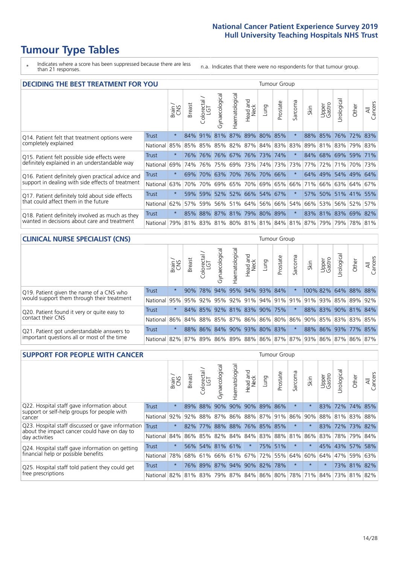# **Tumour Type Tables**

\* Indicates where a score has been suppressed because there are less than 21 responses.

n.a. Indicates that there were no respondents for that tumour group.

| <b>DECIDING THE BEST TREATMENT FOR YOU</b>         |              |         |               |                            |                |                |                        |                                   | <b>Tumour Group</b> |              |                                         |                 |                     |             |                |
|----------------------------------------------------|--------------|---------|---------------|----------------------------|----------------|----------------|------------------------|-----------------------------------|---------------------|--------------|-----------------------------------------|-----------------|---------------------|-------------|----------------|
|                                                    |              | Brain   | <b>Breast</b> | olorectal<br>LGT<br>$\cup$ | Gynaecological | Haematological | ad and<br>Neck<br>Head | Lung                              | Prostate            | arcoma<br>vĀ | Skin                                    | Upper<br>Gastro | Jrological          | Other       | All<br>Cancers |
| Q14. Patient felt that treatment options were      | <b>Trust</b> | $\star$ |               | 84% 91%                    | 81%            |                |                        | 87% 89% 80% 85%                   |                     | $\star$      | 88%                                     | 85%             | 76%                 | $ 72\% $    | 83%            |
| completely explained                               | National     | 85%     | 85%           | 85%                        |                |                |                        | 85%   82%   87%   84%   83%   83% |                     |              | 89%                                     |                 | 81% 83%             | 79% 83%     |                |
| Q15. Patient felt possible side effects were       | Trust        | $\star$ | 76%           | 76%                        |                | 76% 67% 76%    |                        | 73% 74%                           |                     |              | 84%                                     |                 | 68% 69% 59% 71%     |             |                |
| definitely explained in an understandable way      | National     | 69%     | 74%           | 76%                        |                | 75% 69% 73%    |                        |                                   | 74% 73%             | 73%          | 77%                                     | 72%             | 71%                 | 70% 73%     |                |
| Q16. Patient definitely given practical advice and | Trust        | $\star$ | 69%           | 70%                        |                |                |                        | 63% 70% 76% 70% 66%               |                     | $^\star$     | 64%                                     |                 | 49% 54% 49% 64%     |             |                |
| support in dealing with side effects of treatment  | National     | 63%     | 70%           | 70%                        |                |                |                        | 69% 65% 70% 69% 65%               |                     | 66%          | 71%                                     |                 | 66% 63% 64% 67%     |             |                |
| Q17. Patient definitely told about side effects    | Trust        | $\star$ | 59%           |                            |                |                |                        | 59% 52% 52% 66% 54% 67%           |                     | $\ast$       |                                         |                 | 57% 50% 51% 41% 55% |             |                |
| that could affect them in the future               | National     | 62%     | 57%           | 59%                        |                | 56% 51%        |                        | 64% 56% 66%                       |                     | 54%          | 66%                                     | 53%             |                     | 56% 52%     | 57%            |
| Q18. Patient definitely involved as much as they   | Trust        | $\star$ |               |                            |                |                |                        | 85% 88% 87% 81% 79% 80% 89%       |                     | $\star$      |                                         |                 | 83% 81% 83% 69% 82% |             |                |
| wanted in decisions about care and treatment       | National     | 79%     |               |                            |                |                |                        |                                   |                     |              | 81% 83% 81% 80% 81% 81% 84% 81% 87% 79% |                 |                     | 79% 78% 81% |                |

#### **CLINICAL NURSE SPECIALIST (CNS)** Tumour Group

|                                             |              | Brain<br>CNS | <b>Breast</b>   | Colorectal<br>LGT | Gynaecologic | ᠊ᢛ<br>Ü<br>aematologi | Head and<br>Neck            | Lung | Prostate | Sarcoma | Skin | Upper<br>Gastro                                                             | ᅙ<br>Irologica | Other       | All<br>Cancers |
|---------------------------------------------|--------------|--------------|-----------------|-------------------|--------------|-----------------------|-----------------------------|------|----------|---------|------|-----------------------------------------------------------------------------|----------------|-------------|----------------|
| Q19. Patient given the name of a CNS who    | Trust        | $\star$      | 90%             | 78%               | 94%          |                       | 95% 94% 93% 84%             |      |          |         |      | 100% 82%                                                                    |                | 64% 88% 88% |                |
| would support them through their treatment  | National     |              | 95% 95% 92% 95% |                   |              |                       | 92% 91%                     |      |          |         |      | 94% 91% 91% 91% 93% 85% 89%                                                 |                |             | 92%            |
| Q20. Patient found it very or quite easy to | <b>Trust</b> | $\star$      |                 |                   |              |                       | 84% 85% 92% 81% 83% 90% 75% |      |          | $\star$ |      | 88% 83% 90% 81% 84%                                                         |                |             |                |
| contact their CNS                           | National     |              |                 |                   |              |                       |                             |      |          |         |      | 86% 84% 88% 85% 87% 86% 86% 80% 86% 90% 85% 83% 83% 85%                     |                |             |                |
| Q21. Patient got understandable answers to  | Trust        | $\star$      |                 | 88% 86%           | 84%          |                       | 90% 93% 80% 83%             |      |          | $\star$ |      | 88% 86% 93% 77% 85%                                                         |                |             |                |
| important questions all or most of the time | National     |              |                 |                   |              |                       |                             |      |          |         |      | 82%   87%   89%   86%   89%   88%   86%   87%   87%   93%   86%   87%   86% |                |             | 87%            |

| <b>SUPPORT FOR PEOPLE WITH CANCER</b>                                                             |              |         |               |                        |                |                             |                        |         | Tumour Group |              |             |                 |           |                 |                |
|---------------------------------------------------------------------------------------------------|--------------|---------|---------------|------------------------|----------------|-----------------------------|------------------------|---------|--------------|--------------|-------------|-----------------|-----------|-----------------|----------------|
|                                                                                                   |              | Brain   | <b>Breast</b> | olorectal.<br>LGT<br>Ũ | Gynaecological | Haematological              | ad and<br>Neck<br>Head | Fung    | Prostate     | arcoma<br>ιñ | Skin        | Upper<br>Gastro | Jrologica | Other           | All<br>Cancers |
| Q22. Hospital staff gave information about<br>support or self-help groups for people with         | <b>Trust</b> | $\star$ | 89%           | 88%                    | 90%            | 90%                         | 90%                    | 89%     | 86%          | $^\star$     |             | 83%             | 72%       | 74% 85%         |                |
| cancer                                                                                            | National     | 92%     | 92%           | 88%                    | 87%            |                             | 86% 88% 87% 91%        |         |              | 86%          | 90%         | 88%             |           |                 | 81% 83% 88%    |
| Q23. Hospital staff discussed or gave information<br>about the impact cancer could have on day to | Trust        | $\star$ | 82%           | 77%                    |                | 88% 88% 76% 85% 85%         |                        |         |              | $\star$      |             |                 |           | 83% 72% 73% 82% |                |
| day activities                                                                                    | National     | 84%     |               |                        | 86% 85% 82%    |                             | 84% 84%                | 83% 88% |              | 81%          | 86%         | 83%             |           | 78% 79%         | 84%            |
| Q24. Hospital staff gave information on getting                                                   | Trust        | $\star$ |               |                        |                | 56% 54% 81% 61%             | $\star$                |         | 75% 51%      | $\ast$       | $\star$     |                 |           | 45% 43% 57%     | 58%            |
| financial help or possible benefits                                                               | National     | 78%     |               | 68% 61%                |                | 66% 61% 67%                 |                        |         | 72% 55%      | 64%          | 60%         | 64%             | 47%       | 59%             | 63%            |
| Q25. Hospital staff told patient they could get                                                   | Trust        | $\star$ |               | 76% 89%                | 87%            |                             | 94% 90% 82% 78%        |         |              | $\star$      | $\star$     | $\star$         |           | 73% 81%         | 82%            |
| free prescriptions                                                                                | National I   | 82%     |               |                        |                | 81% 83% 79% 87% 84% 86% 80% |                        |         |              |              | 78% 71% 84% |                 |           | 73% 81% 82%     |                |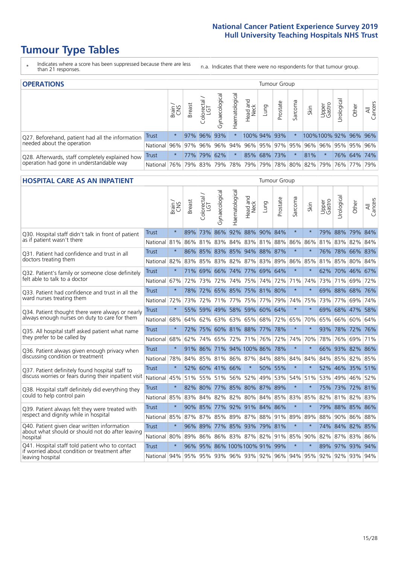# **Tumour Type Tables**

\* Indicates where a score has been suppressed because there are less than 21 responses.

n.a. Indicates that there were no respondents for that tumour group.

| <b>OPERATIONS</b>                                |              |              |               |                     |                    |                |                             |      | Tumour Group |         |                   |                 |                                  |             |                |
|--------------------------------------------------|--------------|--------------|---------------|---------------------|--------------------|----------------|-----------------------------|------|--------------|---------|-------------------|-----------------|----------------------------------|-------------|----------------|
|                                                  |              | Brain<br>CNS | <b>Breast</b> | Colorectal /<br>LGT | ᠊ᢛ<br>Gynaecologic | Haematological | Head and<br>Neck            | Lung | Prostate     | Sarcoma | Skin              | Upper<br>Gastro | $\overline{\sigma}$<br>Urologica | Other       | All<br>Cancers |
| Q27. Beforehand, patient had all the information | <b>Trust</b> | $\star$      |               | 97% 96%             | 93%                | $\star$        | 100% 94% 93%                |      |              | $\star$ | 100%100%92%96%96% |                 |                                  |             |                |
| needed about the operation                       | National     | 96%          | 97%           | 96%                 | 96%                | 94%            | 96% 95% 97% 95% 96%         |      |              |         |                   | 96%             |                                  | 95% 95% 96% |                |
| Q28. Afterwards, staff completely explained how  | Trust        | $\star$      | 77%           | 179%                | 62%                | $\star$        |                             |      | 85% 68% 73%  | $\star$ | 81%               | $\star$         |                                  | 76% 64% 74% |                |
| operation had gone in understandable way         | National     | 76%          |               | 79% 83%             | 79%                |                | 78% 79% 79% 78% 80% 82% 79% |      |              |         |                   |                 |                                  | 76% 77% 79% |                |

#### **HOSPITAL CARE AS AN INPATIENT** TUMOUR STOUP TUMOUR Group

|                                                                                                  |                                                                  | Brain   | <b>Breast</b> | Colorectal /<br>LGT | Gynaecological              | Haematological      | Head and<br>Neck | Lung    | Prostate | Sarcoma | Skin    | Upper<br>Gastro | Urological  | Other           | All<br>Cancers |
|--------------------------------------------------------------------------------------------------|------------------------------------------------------------------|---------|---------------|---------------------|-----------------------------|---------------------|------------------|---------|----------|---------|---------|-----------------|-------------|-----------------|----------------|
| Q30. Hospital staff didn't talk in front of patient                                              | Trust                                                            | $\star$ | 89%           | 73%                 | 86%                         | 92%                 | 88% 90% 84%      |         |          | $\star$ | $\star$ | 79%             | 88%         | 79%             | 84%            |
| as if patient wasn't there                                                                       | National                                                         | 81%     |               |                     | 86% 81% 83%                 |                     | 84% 83% 81% 88%  |         |          | 86%     | 86%     |                 | 81% 83%     | 82%             | 84%            |
| 031. Patient had confidence and trust in all                                                     | Trust                                                            | $\star$ |               |                     | 86% 85% 83% 85% 94% 88% 87% |                     |                  |         |          | $\star$ |         | 76%             | 78%         | 66% 83%         |                |
| doctors treating them                                                                            | National                                                         | 82%     | 83%           | 85%                 | 83%                         | 82%                 | 87%              |         | 83% 89%  | 86%     | 85%     | 81%             | 85%         | 80%             | 84%            |
| Q32. Patient's family or someone close definitely                                                | Trust                                                            | $\star$ |               | 71% 69% 66%         |                             | 74% 77% 69% 64%     |                  |         |          | $\star$ | $\star$ |                 |             | 62% 70% 46% 67% |                |
| felt able to talk to a doctor                                                                    | National                                                         | 67%     | 72%           | 73%                 | 72%                         | 74%                 | 75%              | 74%     | 72%      | 71%     | 74%     | 73%             | 71%         | 69%             | 72%            |
| Q33. Patient had confidence and trust in all the                                                 | <b>Trust</b>                                                     | $\star$ |               |                     | 78% 72% 65% 85% 75% 81% 80% |                     |                  |         |          | $\star$ | $\star$ |                 | 69% 88%     | 68% 76%         |                |
| ward nurses treating them                                                                        | National                                                         | 72%     | 73%           |                     | 72% 71% 77% 75% 77% 79%     |                     |                  |         |          | 74%     | 75%     |                 | 73% 77%     | 69%             | 74%            |
| Q34. Patient thought there were always or nearly                                                 | <b>Trust</b>                                                     | $\star$ | 55%           |                     | 59% 49%                     | 58%                 |                  | 59% 60% | 64%      | $\star$ | $\star$ | 69%             | 68%         | 47%             | 58%            |
| always enough nurses on duty to care for them                                                    | National                                                         | 68%     | 64%           |                     | 62% 63% 63% 65% 68% 72%     |                     |                  |         |          | 65%     | 70%     |                 | 65% 66%     | 60% 64%         |                |
| Q35. All hospital staff asked patient what name                                                  | Trust                                                            | $\star$ |               |                     | 72% 75% 60% 81% 88% 77% 78% |                     |                  |         |          | $\star$ |         |                 | 93% 78%     | 72% 76%         |                |
| they prefer to be called by                                                                      | National                                                         | 68%     | 62%           |                     | 74% 65%                     |                     | 72% 71%          | 76% 72% |          | 74%     | 70%     | 78%             | 76%         | 69%             | 71%            |
| Q36. Patient always given enough privacy when                                                    | <b>Trust</b>                                                     | $\star$ |               | 91% 86%             | 71% 94% 100% 86% 78%        |                     |                  |         |          | $\star$ | $\star$ | 66%             | 93%         | 82% 86%         |                |
| discussing condition or treatment                                                                | National                                                         | 78%     |               |                     | 84% 85% 81% 86% 87%         |                     |                  | 84% 88% |          | 84%     | 84%     |                 | 84% 85%     | 82% 85%         |                |
| Q37. Patient definitely found hospital staff to                                                  | <b>Trust</b>                                                     | $\star$ |               |                     | 52% 60% 41% 66%             |                     | $\star$          |         | 50% 55%  | $\star$ | $\star$ |                 |             | 52% 46% 35%     | 51%            |
| discuss worries or fears during their inpatient visit                                            | National 45% 51% 55% 51% 56% 52% 49% 53%                         |         |               |                     |                             |                     |                  |         |          | 54%     | 51%     |                 |             | 53% 49% 46%     | 52%            |
| Q38. Hospital staff definitely did everything they                                               | <b>Trust</b>                                                     | $\star$ |               |                     | 82% 80% 77% 85% 80% 87% 89% |                     |                  |         |          | $\star$ | $\ast$  |                 | 75% 73%     | 72%             | 81%            |
| could to help control pain                                                                       | National                                                         | 85%     | 83%           |                     | 84% 82%                     |                     | 82% 80%          | 84% 85% |          | 83%     | 85%     | 82%             | 81%         | 82%             | 83%            |
| Q39. Patient always felt they were treated with                                                  | <b>Trust</b>                                                     | $\star$ |               |                     | 90% 85% 77%                 |                     | 92% 91% 84% 86%  |         |          | $\star$ | $\star$ |                 |             | 79% 88% 85% 86% |                |
| respect and dignity while in hospital                                                            | National                                                         | 85%     |               |                     | 87% 87% 85%                 |                     | 89% 87%          | 88% 91% |          | 89%     | 89%     | 88%             | 90%         | 86%             | 88%            |
| Q40. Patient given clear written information<br>about what should or should not do after leaving | <b>Trust</b>                                                     | $\star$ |               | 96% 89%             |                             | 77% 85% 93% 79% 81% |                  |         |          | $\star$ | $\star$ |                 | 74% 84%     | 82% 85%         |                |
| hospital                                                                                         | National 80%                                                     |         | 89%           | 86%                 |                             | 86% 83% 87% 82% 91% |                  |         |          | 85%     | 90%     |                 | 82% 87%     | 83%             | 86%            |
| Q41. Hospital staff told patient who to contact<br>if worried about condition or treatment after | Trust                                                            | $\star$ | 96%           |                     | 95% 86% 100% 100% 91% 99%   |                     |                  |         |          | $\star$ | $\ast$  |                 | 89% 97% 93% |                 | 94%            |
| leaving hospital                                                                                 | National 94% 95% 95% 93% 96% 93% 92% 96% 94% 95% 92% 92% 93% 94% |         |               |                     |                             |                     |                  |         |          |         |         |                 |             |                 |                |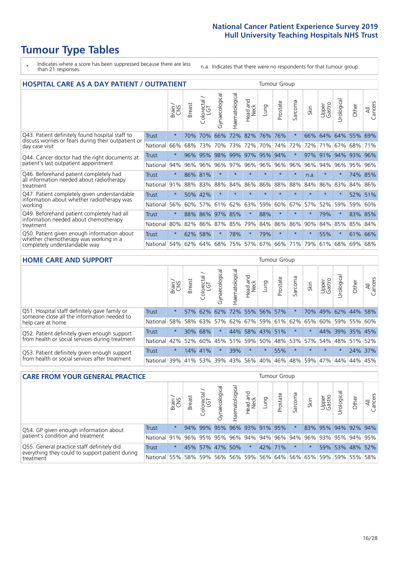# **Tumour Type Tables**

- \* Indicates where a score has been suppressed because there are less than 21 responses.
- n.a. Indicates that there were no respondents for that tumour group.

| <b>HOSPITAL CARE AS A DAY PATIENT / OUTPATIENT</b>                                                                    |              |         |               |                                     |                |                |                         |         |          | <b>Tumour Group</b>        |         |                 |            |         |                |  |  |  |  |  |  |  |
|-----------------------------------------------------------------------------------------------------------------------|--------------|---------|---------------|-------------------------------------|----------------|----------------|-------------------------|---------|----------|----------------------------|---------|-----------------|------------|---------|----------------|--|--|--|--|--|--|--|
|                                                                                                                       |              | Brain   | <b>Breast</b> | $\frac{\text{Colored}}{\text{LGT}}$ | Gynaecological | Haematological | ead and<br>Neck<br>Head | Lung    | Prostate | arcoma<br>$\tilde{\Omega}$ | Skin    | Upper<br>Gastro | Urological | Other   | All<br>Cancers |  |  |  |  |  |  |  |
| Q43. Patient definitely found hospital staff to                                                                       | Trust        | $\star$ | 70%           | 70%                                 | 66%            | 72%            | 82%                     | 76%     | 76%      | $\ast$                     | 66%     | 64%             | 64%        | 55%     | 69%            |  |  |  |  |  |  |  |
| discuss worries or fears during their outpatient or<br>day case visit                                                 | National     | 66%     | 68%           | 73%                                 | 70%            | 73%            | 72%                     | 70%     | 74%      | 72%                        | 72%     | 71%             | 67%        | 68%     | 71%            |  |  |  |  |  |  |  |
| Q44. Cancer doctor had the right documents at<br>patient's last outpatient appointment                                | Trust        | $\star$ | 96%           | 95%                                 | 98%            | 99%            | 97%                     | 95%     | 94%      | $\star$                    | 97%     | 91%             | 94%        | 93%     | 96%            |  |  |  |  |  |  |  |
|                                                                                                                       | National     | 94%     | 96%           | 96%                                 | 96%            | 97%            | 96%                     | 96%     | 96%      | 96%                        | 96%     | 94%             | 96%        | 95%     | 96%            |  |  |  |  |  |  |  |
| Q46. Beforehand patient completely had                                                                                | <b>Trust</b> | $\star$ | 86% 81%       |                                     | $\star$        |                | $\star$                 | $\star$ | $\star$  | $\star$                    | n.a.    |                 | $\star$    |         | 74% 85%        |  |  |  |  |  |  |  |
| all information needed about radiotherapy<br>treatment                                                                | National     | 91%     | 88%           | 83%                                 | 88%            | 84%            | 86%                     | 86%     | 88%      | 88%                        | 84%     | 86%             | 83%        | 84%     | 86%            |  |  |  |  |  |  |  |
| Q47. Patient completely given understandable                                                                          | <b>Trust</b> | $\star$ | 50%           | 42%                                 | $\star$        | $\star$        | $\star$                 | $\star$ | $\star$  | $\star$                    | $\star$ | $\star$         | $\star$    | 52%     | 51%            |  |  |  |  |  |  |  |
| information about whether radiotherapy was<br>working                                                                 | National     | 56%     | 60%           | 57%                                 | 61%            | 62%            | 63%                     | 59%     | 60%      | 67%                        | 57%     | 52%             | 59%        | 59%     | 60%            |  |  |  |  |  |  |  |
| Q49. Beforehand patient completely had all                                                                            | Trust        | $\star$ | 88%           | 86%                                 | 97%            | 85%            | $\star$                 | 88%     | $\star$  | $\star$                    | $\star$ | 79%             | $\star$    | 83% 85% |                |  |  |  |  |  |  |  |
| information needed about chemotherapy<br>treatment                                                                    | National     | 80%     | 82%           | 86%                                 | 87%            | 85%            | 79%                     | 84%     | 86%      | 86%                        | 90%     | 84%             | 85%        | 85%     | 84%            |  |  |  |  |  |  |  |
| Q50. Patient given enough information about<br>whether chemotherapy was working in a<br>completely understandable way | <b>Trust</b> | $\star$ | 62%           | 58%                                 | $\star$        | 78%            | $\star$                 | 79%     | $\star$  | $\star$                    |         | 55%             | $\star$    | 61%     | 66%            |  |  |  |  |  |  |  |
|                                                                                                                       | National     | 54%     | 62%           | 64%                                 | 68%            | 75%            |                         | 57% 67% | 66%      | 71%                        | 79%     | 61%             | 68%        | 69%     | 68%            |  |  |  |  |  |  |  |

#### **HOME CARE AND SUPPORT** Tumour Group

|                                                                                                                   |          | Brain   | <b>Breast</b> | olorectal.<br>LGT<br>Ü | Gynaecologic | Haematological | Head and<br>Neck | Dung    | Prostate | Sarcoma | Skin       | Upper<br>Gastro | Irological | Other           | All<br>Cancers |
|-------------------------------------------------------------------------------------------------------------------|----------|---------|---------------|------------------------|--------------|----------------|------------------|---------|----------|---------|------------|-----------------|------------|-----------------|----------------|
| Q51. Hospital staff definitely gave family or<br>someone close all the information needed to<br>help care at home | Trust    | $\star$ | 57%           | 62%                    | 62%          |                | 72% 55% 56%      |         | 57%      | $\ast$  | <b>70%</b> | 49%             |            | 62% 44%         | 58%            |
|                                                                                                                   | National | 58%     |               | 58% 63%                | 57%          |                | 62% 67% 59% 61%  |         |          | 62%     | 65%        |                 |            | 60% 59% 55% 60% |                |
| Q52. Patient definitely given enough support<br>from health or social services during treatment                   | Trust    | $\star$ |               | 30% 68%                |              |                | 44% 58% 43% 51%  |         |          | $\star$ |            |                 |            | 44% 39% 35% 45% |                |
|                                                                                                                   | National | 42%     | 52%           | 60%                    | 45%          | 51%            |                  | 59% 50% |          | 48% 53% | 57%        |                 |            | 54% 48% 51% 52% |                |
| Q53. Patient definitely given enough support<br>from health or social services after treatment                    | Trust    | $\star$ |               | 14% 41%                |              | 39%            | $\star$          | $\star$ | 55%      | $\star$ | $\star$    | $\star$         | $\star$    | 24% 37%         |                |
|                                                                                                                   | National |         | 39% 41% 53%   |                        | 39%          | 43%            |                  | 56% 40% | 46%      | 48%     | 59%        | 47%             | 44%        | 44%             | 45%            |

| <b>CARE FROM YOUR GENERAL PRACTICE</b>                                                                     |              |         |               |                   |               |                     |                  |      | Tumour Group        |         |      |                             |                 |       |                |  |  |  |  |  |  |  |
|------------------------------------------------------------------------------------------------------------|--------------|---------|---------------|-------------------|---------------|---------------------|------------------|------|---------------------|---------|------|-----------------------------|-----------------|-------|----------------|--|--|--|--|--|--|--|
|                                                                                                            |              | Brain   | <b>Breast</b> | Colorectal<br>LGT | Gynaecologica | ক<br>Haematologic   | Head and<br>Neck | Lung | Prostate            | Sarcoma | Skin | Upper<br>Gastro             | Urologica       | Other | All<br>Cancers |  |  |  |  |  |  |  |
| Q54. GP given enough information about<br>patient's condition and treatment                                | Trust        | $\star$ |               | 94% 99%           |               | 95% 96% 93% 91% 95% |                  |      |                     |         |      | 83% 95% 94% 92% 94%         |                 |       |                |  |  |  |  |  |  |  |
|                                                                                                            | National 91% |         |               | 96% 95%           | 95%           |                     |                  |      | 96% 94% 94% 96% 94% |         | 96%  |                             | 93% 95% 94% 95% |       |                |  |  |  |  |  |  |  |
| Q55. General practice staff definitely did<br>everything they could to support patient during<br>treatment | <b>Trust</b> | $\star$ |               | 45% 57%           |               | 47% 50%             | $\star$          |      | 42% 71%             |         |      |                             | 59% 53% 48% 52% |       |                |  |  |  |  |  |  |  |
|                                                                                                            | National     | 55%     |               | 58% 59%           |               | 56% 56% 59%         |                  |      |                     |         |      | 56% 64% 56% 65% 59% 59% 55% |                 |       | 58%            |  |  |  |  |  |  |  |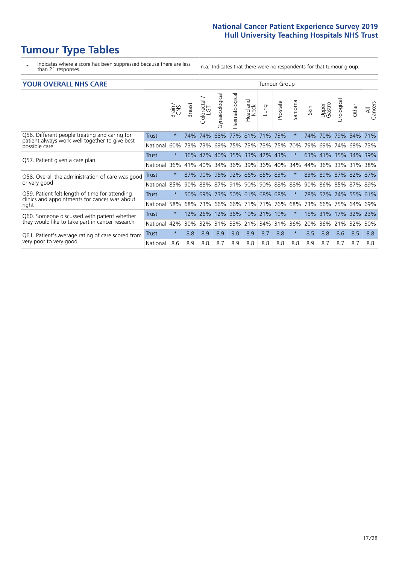# **Tumour Type Tables**

- \* Indicates where a score has been suppressed because there are less than 21 responses.
- n.a. Indicates that there were no respondents for that tumour group.

#### **YOUR OVERALL NHS CARE** THE TWO CONTROLLER THE THE THEORY OF THE THEORY OF THE TUMOUR Group

|                                                                                                          |              | Brain   | <b>Breast</b> | Colorectal<br>LGT | Gynaecological | Haematological | ead and<br>Neck<br>Head | Lung    | Prostate | Sarcoma  | Skin | Upper<br>Gastro | Urologica | Other               | All<br>Cancers |
|----------------------------------------------------------------------------------------------------------|--------------|---------|---------------|-------------------|----------------|----------------|-------------------------|---------|----------|----------|------|-----------------|-----------|---------------------|----------------|
| Q56. Different people treating and caring for                                                            | <b>Trust</b> | $\star$ | 74%           | 74%               | 68%            | 77%            | 81%                     | 71%     | 73%      | $^\star$ | 74%  | 70%             | 79%       | 54%                 | 71%            |
| patient always work well together to give best<br>possible care                                          | National     | 60%     |               | 73% 73%           | 69%            | 75%            | 73%                     | 73% 75% |          | 70%      | 79%  | 69%             | 74%       | 68%                 | 73%            |
| Q57. Patient given a care plan                                                                           | <b>Trust</b> | $\star$ | 36%           | 47%               |                |                | 40% 35% 33% 42% 43%     |         |          | $^\star$ | 63%  | 41% 35%         |           | 34%                 | 39%            |
|                                                                                                          | National     | 36%     | 41%           | 40%               | 34%            | 36%            | 39%                     | 36% 40% |          | 34%      | 44%  | 36%             | 33%       | 31%                 | 38%            |
| Q58. Overall the administration of care was good                                                         | <b>Trust</b> | $\star$ | 87%           | 90%               | 95% 92%        |                | 86% 85% 83%             |         |          | $^\star$ | 83%  | 89% 87%         |           | 82% 87%             |                |
| or very good                                                                                             | National     | 85%     |               | 90% 88% 87% 91%   |                |                | 90% 90% 88%             |         |          | 88%      |      |                 |           | 90% 86% 85% 87% 89% |                |
| Q59. Patient felt length of time for attending<br>clinics and appointments for cancer was about<br>right | Trust        | $\star$ | 50%           | 69%               |                |                | 73% 50% 61%             | 68% 68% |          | $\star$  | 78%  | 57% 74%         |           | 55% 61%             |                |
|                                                                                                          | National     | 58%     | 68%           | 73%               | 66%            | 66%            | 71%                     | 71%     | 76%      | 68%      | 73%  | 66%             | 75%       | 64%                 | 69%            |
| Q60. Someone discussed with patient whether<br>they would like to take part in cancer research           | Trust        | $\star$ | 12%           | 26%               | 12%            | 36%            | 19%                     | 21%     | 19%      | $^\star$ | 15%  | 31%             | 17%       | 32%                 | 23%            |
|                                                                                                          | National     | 42%     | $30\%$        | 32%               | 31%            | 33%            | 21%                     |         | 34% 31%  | 36%      | 20%  | 36%             | 21%       | 32%                 | 30%            |
| Q61. Patient's average rating of care scored from                                                        | Trust        | $\star$ | 8.8           | 8.9               | 8.9            | 9.0            | 8.9                     | 8.7     | 8.8      | $^\star$ | 8.5  | 8.8             | 8.6       | 8.5                 | 8.8            |
| very poor to very good                                                                                   | National     | 8.6     | 8.9           | 8.8               | 8.7            | 8.9            | 8.8                     | 8.8     | 8.8      | 8.8      | 8.9  | 8.7             | 8.7       | 8.7                 | 8.8            |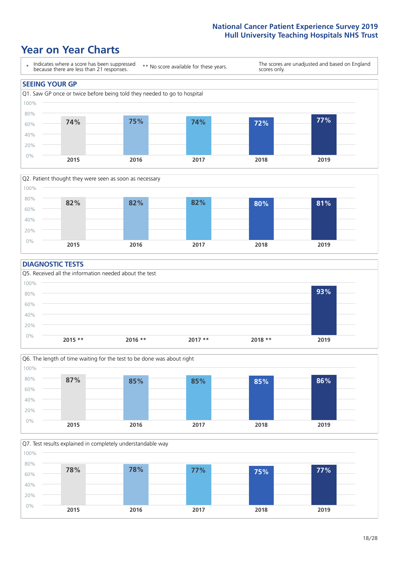### **Year on Year Charts**





#### **DIAGNOSTIC TESTS**





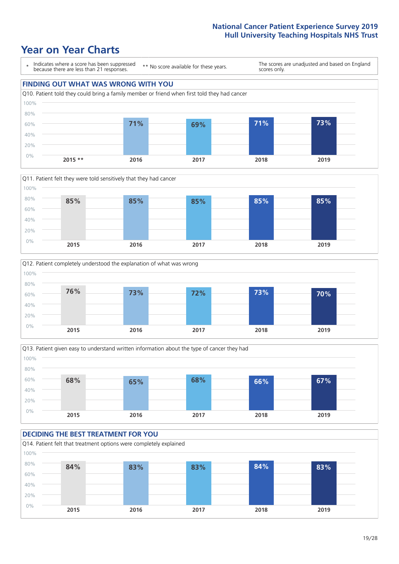







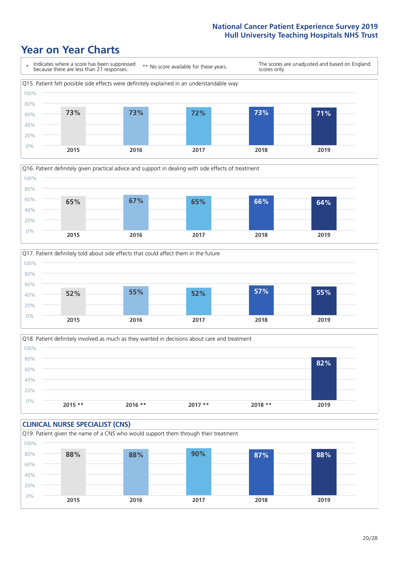





Q18. Patient definitely involved as much as they wanted in decisions about care and treatment  $0%$ 20% 40% 60% 80% 100% **2015 \*\* 2016 \*\* 2017 \*\* 2018 \*\* 2019 82%**

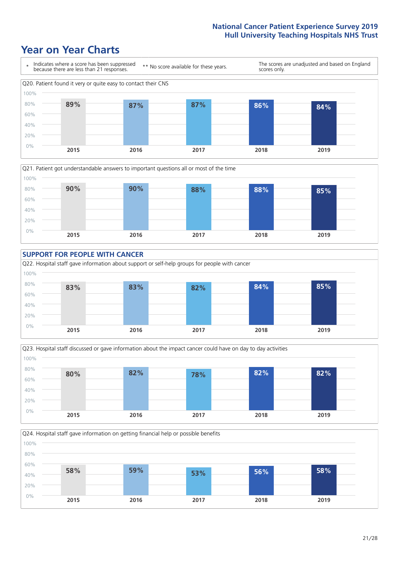







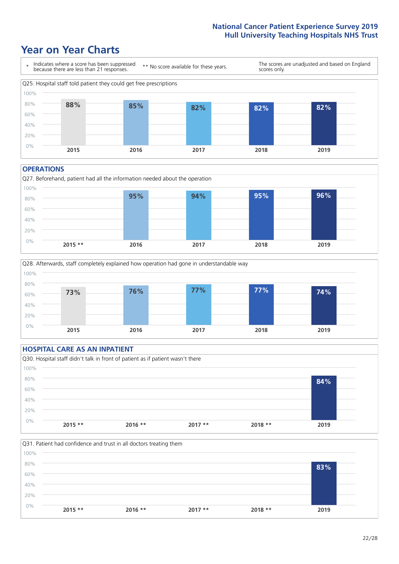### **Year on Year Charts**



#### **OPERATIONS**





#### **HOSPITAL CARE AS AN INPATIENT** Q30. Hospital staff didn't talk in front of patient as if patient wasn't there 0% 20% 40% 60% 80% 100% **2015 \*\* 2016 \*\* 2017 \*\* 2018 \*\* 2019 84%**

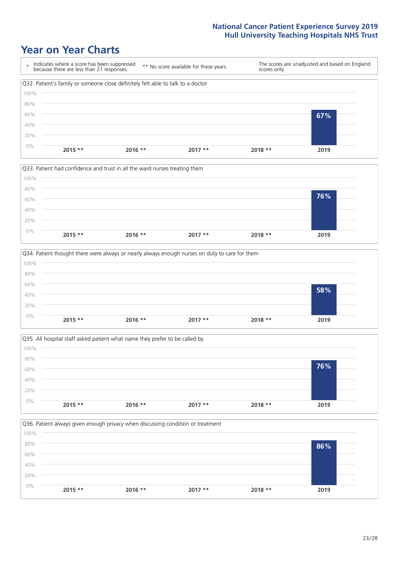







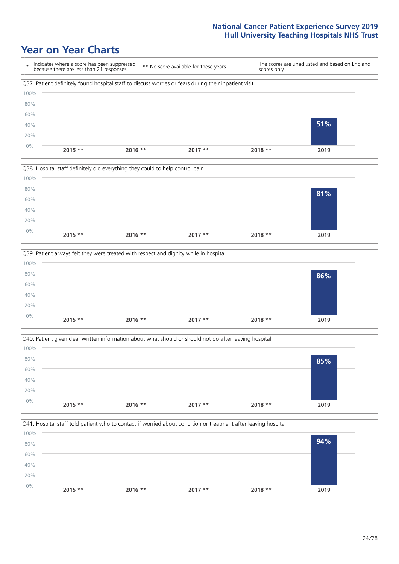







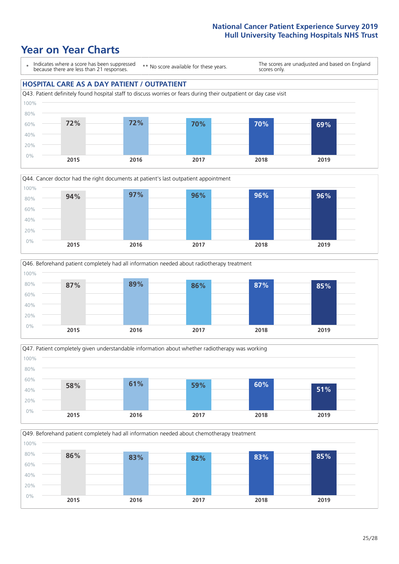







Q49. Beforehand patient completely had all information needed about chemotherapy treatment

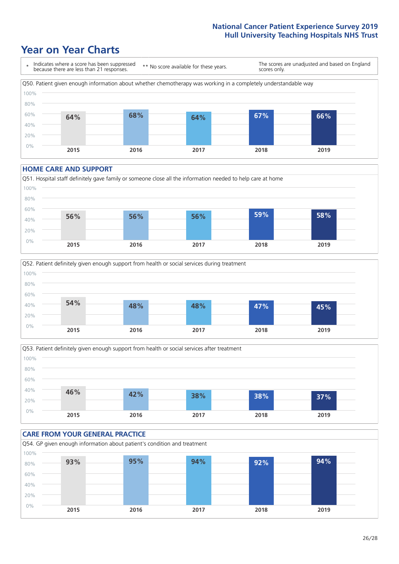### **Year on Year Charts**



#### **HOME CARE AND SUPPORT**







#### **CARE FROM YOUR GENERAL PRACTICE** Q54. GP given enough information about patient's condition and treatment 0% 20% 40% 60% 80% 100% **2015 2016 2017 2018 2019 93% 95% 94% 92% 94%**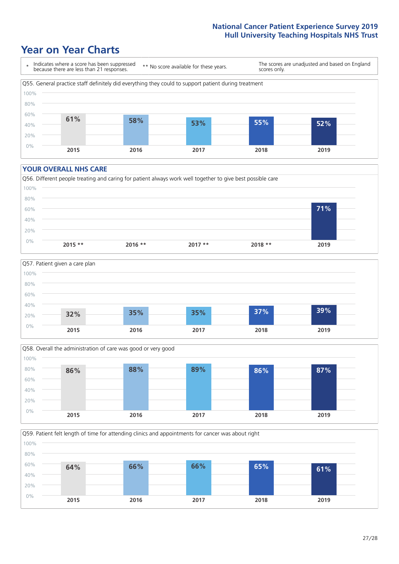### **Year on Year Charts**



#### **YOUR OVERALL NHS CARE**







Q59. Patient felt length of time for attending clinics and appointments for cancer was about right 100%